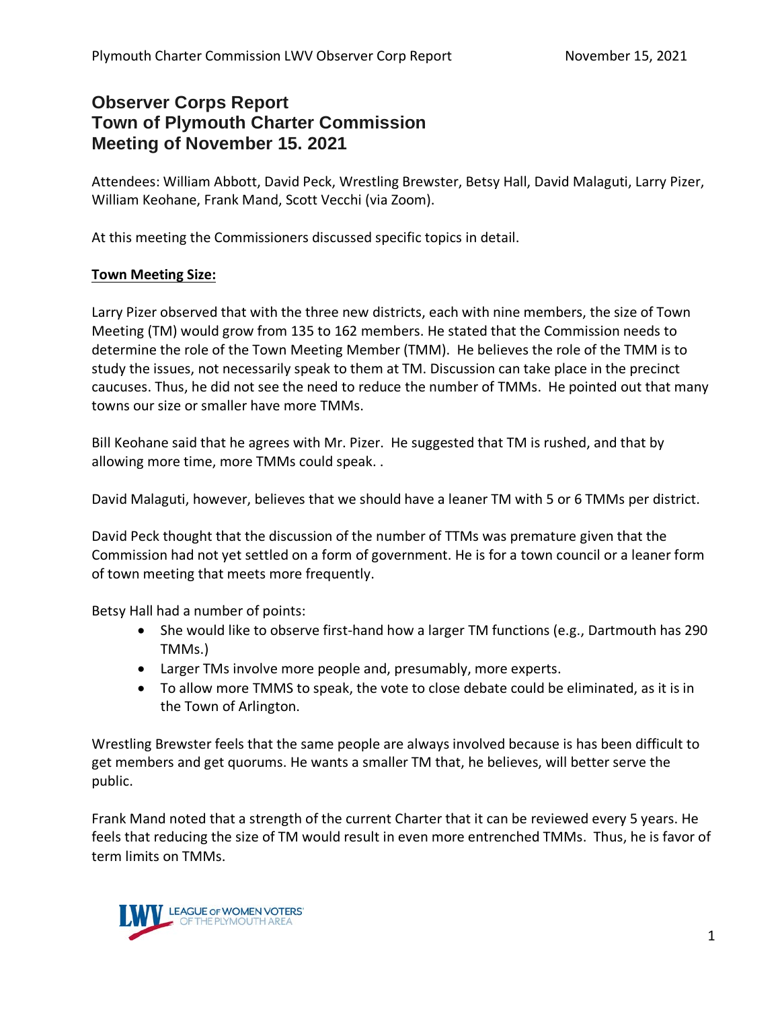# **Observer Corps Report Town of Plymouth Charter Commission Meeting of November 15. 2021**

Attendees: William Abbott, David Peck, Wrestling Brewster, Betsy Hall, David Malaguti, Larry Pizer, William Keohane, Frank Mand, Scott Vecchi (via Zoom).

At this meeting the Commissioners discussed specific topics in detail.

#### **Town Meeting Size:**

Larry Pizer observed that with the three new districts, each with nine members, the size of Town Meeting (TM) would grow from 135 to 162 members. He stated that the Commission needs to determine the role of the Town Meeting Member (TMM). He believes the role of the TMM is to study the issues, not necessarily speak to them at TM. Discussion can take place in the precinct caucuses. Thus, he did not see the need to reduce the number of TMMs. He pointed out that many towns our size or smaller have more TMMs.

Bill Keohane said that he agrees with Mr. Pizer. He suggested that TM is rushed, and that by allowing more time, more TMMs could speak. .

David Malaguti, however, believes that we should have a leaner TM with 5 or 6 TMMs per district.

David Peck thought that the discussion of the number of TTMs was premature given that the Commission had not yet settled on a form of government. He is for a town council or a leaner form of town meeting that meets more frequently.

Betsy Hall had a number of points:

- She would like to observe first-hand how a larger TM functions (e.g., Dartmouth has 290 TMMs.)
- Larger TMs involve more people and, presumably, more experts.
- To allow more TMMS to speak, the vote to close debate could be eliminated, as it is in the Town of Arlington.

Wrestling Brewster feels that the same people are always involved because is has been difficult to get members and get quorums. He wants a smaller TM that, he believes, will better serve the public.

Frank Mand noted that a strength of the current Charter that it can be reviewed every 5 years. He feels that reducing the size of TM would result in even more entrenched TMMs. Thus, he is favor of term limits on TMMs.

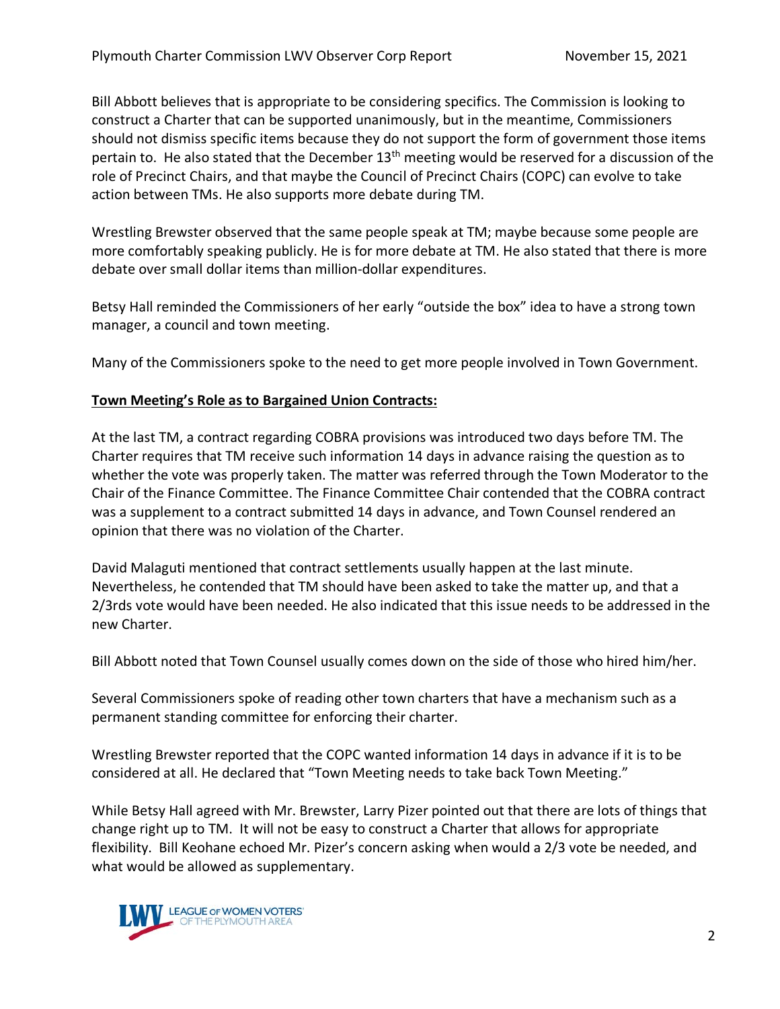Bill Abbott believes that is appropriate to be considering specifics. The Commission is looking to construct a Charter that can be supported unanimously, but in the meantime, Commissioners should not dismiss specific items because they do not support the form of government those items pertain to. He also stated that the December  $13<sup>th</sup>$  meeting would be reserved for a discussion of the role of Precinct Chairs, and that maybe the Council of Precinct Chairs (COPC) can evolve to take action between TMs. He also supports more debate during TM.

Wrestling Brewster observed that the same people speak at TM; maybe because some people are more comfortably speaking publicly. He is for more debate at TM. He also stated that there is more debate over small dollar items than million-dollar expenditures.

Betsy Hall reminded the Commissioners of her early "outside the box" idea to have a strong town manager, a council and town meeting.

Many of the Commissioners spoke to the need to get more people involved in Town Government.

## **Town Meeting's Role as to Bargained Union Contracts:**

At the last TM, a contract regarding COBRA provisions was introduced two days before TM. The Charter requires that TM receive such information 14 days in advance raising the question as to whether the vote was properly taken. The matter was referred through the Town Moderator to the Chair of the Finance Committee. The Finance Committee Chair contended that the COBRA contract was a supplement to a contract submitted 14 days in advance, and Town Counsel rendered an opinion that there was no violation of the Charter.

David Malaguti mentioned that contract settlements usually happen at the last minute. Nevertheless, he contended that TM should have been asked to take the matter up, and that a 2/3rds vote would have been needed. He also indicated that this issue needs to be addressed in the new Charter.

Bill Abbott noted that Town Counsel usually comes down on the side of those who hired him/her.

Several Commissioners spoke of reading other town charters that have a mechanism such as a permanent standing committee for enforcing their charter.

Wrestling Brewster reported that the COPC wanted information 14 days in advance if it is to be considered at all. He declared that "Town Meeting needs to take back Town Meeting."

While Betsy Hall agreed with Mr. Brewster, Larry Pizer pointed out that there are lots of things that change right up to TM. It will not be easy to construct a Charter that allows for appropriate flexibility. Bill Keohane echoed Mr. Pizer's concern asking when would a 2/3 vote be needed, and what would be allowed as supplementary.

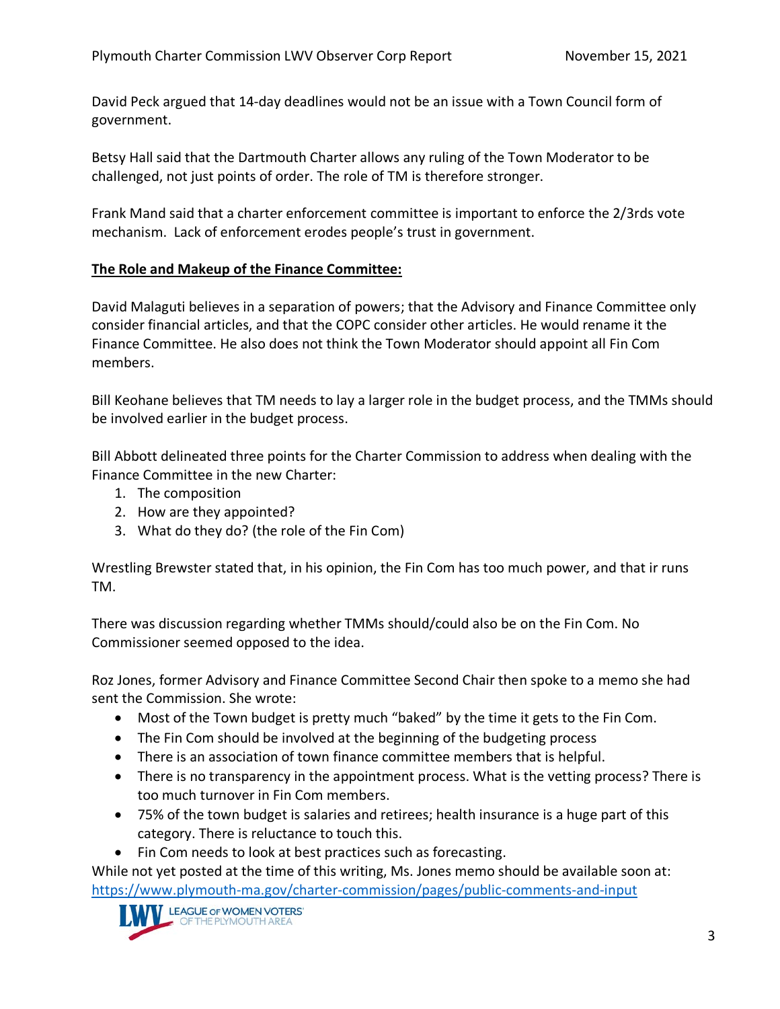David Peck argued that 14-day deadlines would not be an issue with a Town Council form of government.

Betsy Hall said that the Dartmouth Charter allows any ruling of the Town Moderator to be challenged, not just points of order. The role of TM is therefore stronger.

Frank Mand said that a charter enforcement committee is important to enforce the 2/3rds vote mechanism. Lack of enforcement erodes people's trust in government.

#### **The Role and Makeup of the Finance Committee:**

David Malaguti believes in a separation of powers; that the Advisory and Finance Committee only consider financial articles, and that the COPC consider other articles. He would rename it the Finance Committee. He also does not think the Town Moderator should appoint all Fin Com members.

Bill Keohane believes that TM needs to lay a larger role in the budget process, and the TMMs should be involved earlier in the budget process.

Bill Abbott delineated three points for the Charter Commission to address when dealing with the Finance Committee in the new Charter:

- 1. The composition
- 2. How are they appointed?
- 3. What do they do? (the role of the Fin Com)

Wrestling Brewster stated that, in his opinion, the Fin Com has too much power, and that ir runs TM.

There was discussion regarding whether TMMs should/could also be on the Fin Com. No Commissioner seemed opposed to the idea.

Roz Jones, former Advisory and Finance Committee Second Chair then spoke to a memo she had sent the Commission. She wrote:

- Most of the Town budget is pretty much "baked" by the time it gets to the Fin Com.
- The Fin Com should be involved at the beginning of the budgeting process
- There is an association of town finance committee members that is helpful.
- There is no transparency in the appointment process. What is the vetting process? There is too much turnover in Fin Com members.
- 75% of the town budget is salaries and retirees; health insurance is a huge part of this category. There is reluctance to touch this.
- Fin Com needs to look at best practices such as forecasting.

While not yet posted at the time of this writing, Ms. Jones memo should be available soon at: <https://www.plymouth-ma.gov/charter-commission/pages/public-comments-and-input>